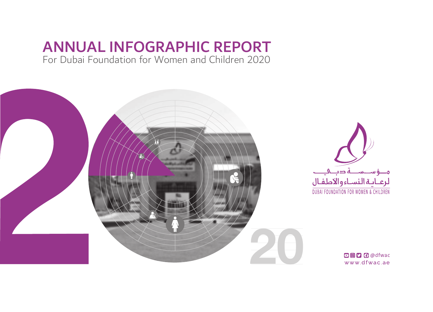# ANNUAL INFOGRAPHIC REPORT

For Dubai Foundation for Women and Children 2020

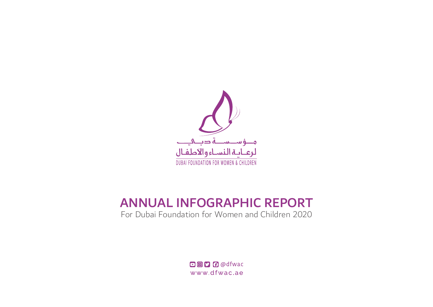

# ANNUAL INFOGRAPHIC REPORT

For Dubai Foundation for Women and Children 2020

**DOD** Odfwac www.dfwac.ae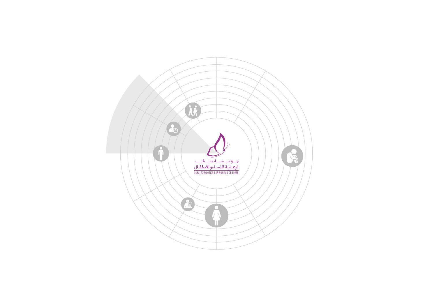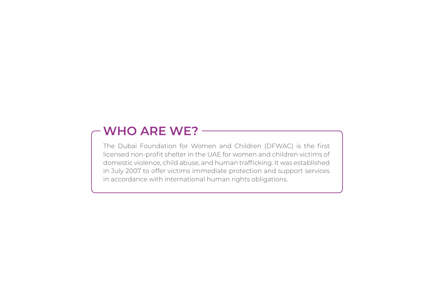# **WHO ARE WE?**

The Dubai Foundation for Women and Children (DFWAC) is the first licensed non-profit shelter in the UAE for women and children victims of domestic violence, child abuse, and human trafficking. It was established in July 2007 to offer victims immediate protection and support services in accordance with international human rights obligations.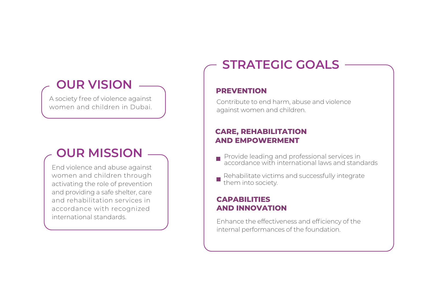# **OUR VISION**

A society free of violence against women and children in Dubai.

# **OUR MISSION**

End violence and abuse against women and children through activating the role of prevention and providing a safe shelter, care and rehabilitation services in accordance with recognized international standards.

# **STRATEGIC GOALS**

### **PREVENTION**

Contribute to end harm, abuse and violence against women and children.

## **CARE, REHABILITATION AND EMPOWERMENT**

- Provide leading and professional services in accordance with international laws and standards
- Rehabilitate victims and successfully integrate them into society.

### **CAPABILITIES AND INNOVATION**

Enhance the effectiveness and efficiency of the internal performances of the foundation.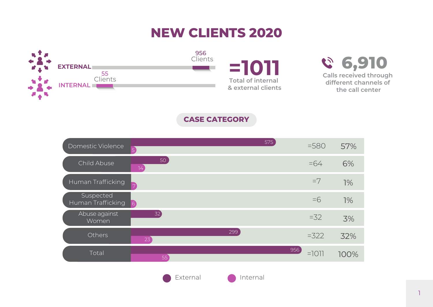# **NEW CLIENTS 2020**



**CASE CATEGORY**

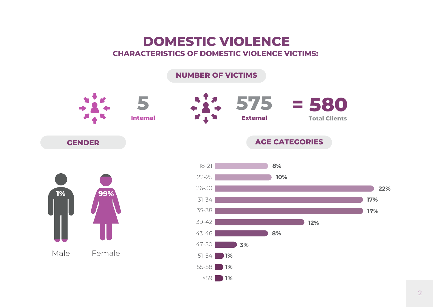# **DOMESTIC VIOLENCE CHARACTERISTICS OF DOMESTIC VIOLENCE VICTIMS:**

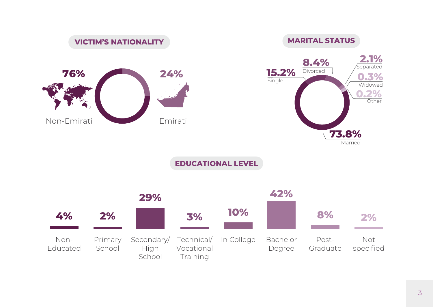

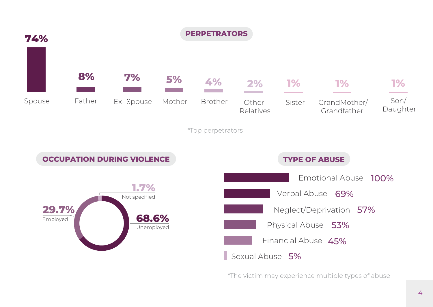

\*The victim may experience multiple types of abuse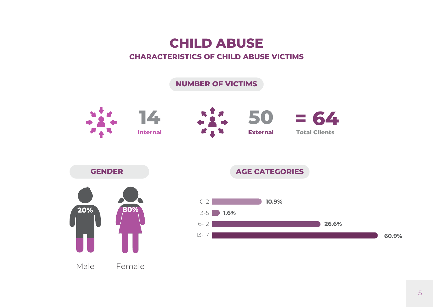# **CHILD ABUSE**

### **CHARACTERISTICS OF CHILD ABUSE VICTIMS**

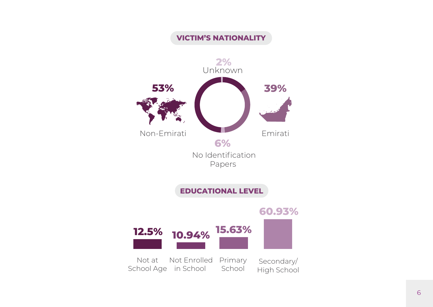## **VICTIM'S NATIONALITY**

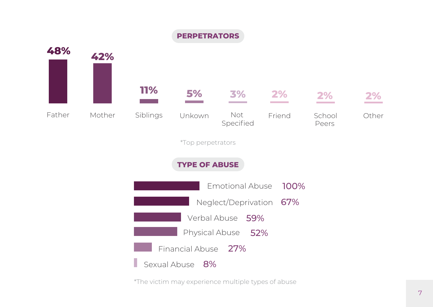

\*The victim may experience multiple types of abuse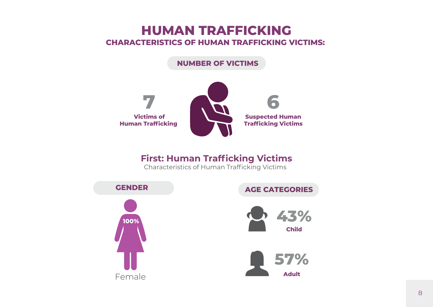# **HUMAN TRAFFICKING CHARACTERISTICS OF HUMAN TRAFFICKING VICTIMS:**

### **NUMBER OF VICTIMS**



## **First: Human Trafficking Victims**

Characteristics of Human Trafficking Victims

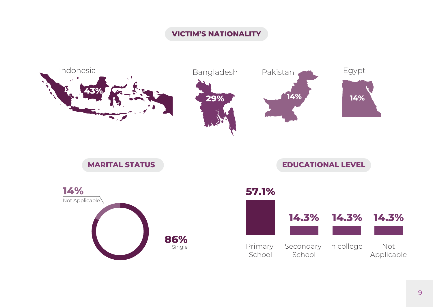## **VICTIM'S NATIONALITY**

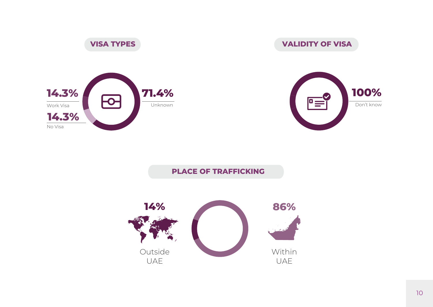

**VISA TYPES**

## **VALIDITY OF VISA**



## **PLACE OF TRAFFICKING**

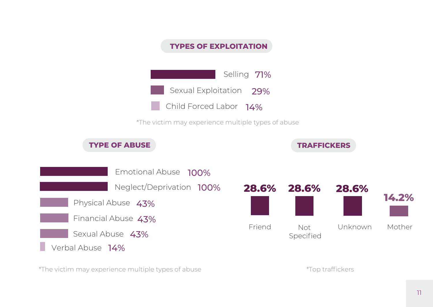

\*The victim may experience multiple types of abuse

\*Top traffickers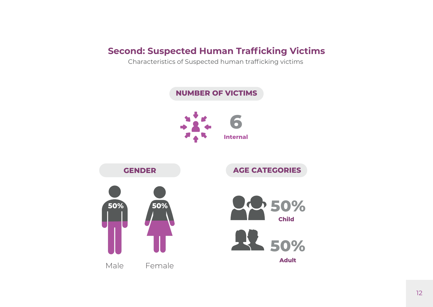## **Second: Suspected Human Trafficking Victims**

Characteristics of Suspected human trafficking victims

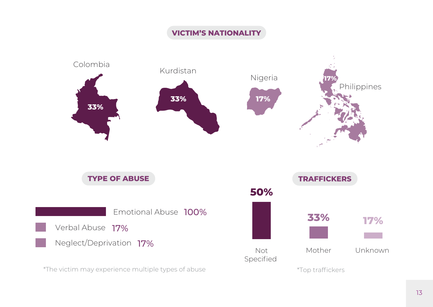## **VICTIM'S NATIONALITY**

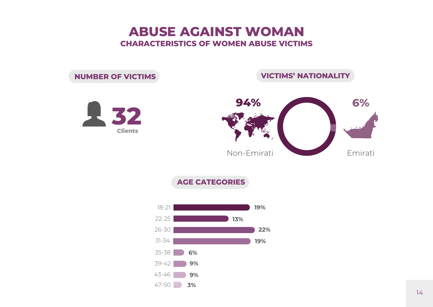# **ABUSE AGAINST WOMAN CHARACTERISTICS OF WOMEN ABUSE VICTIMS**

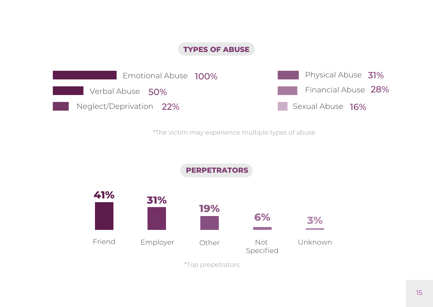### **TYPES OF ABUSE**



\*The victim may experience multiple types of abuse

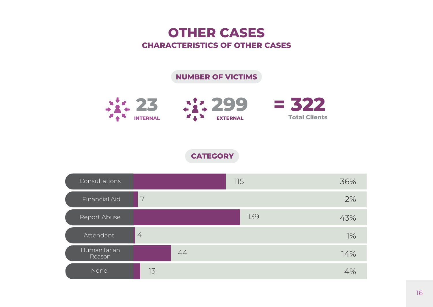# **OTHER CASES CHARACTERISTICS OF OTHER CASES**

## **NUMBER OF VICTIMS**



**CATEGORY**

| Consultations          |                |    | 115 | 36% |
|------------------------|----------------|----|-----|-----|
| Financial Aid          | 7              |    |     | 2%  |
| Report Abuse           |                |    | 139 | 43% |
| Attendant              | $\overline{4}$ |    |     | 1%  |
| Humanitarian<br>Reason |                | 44 |     | 14% |
| None                   | 13             |    |     | 4%  |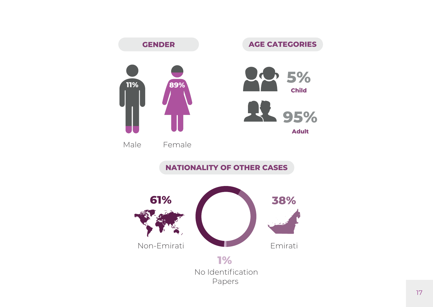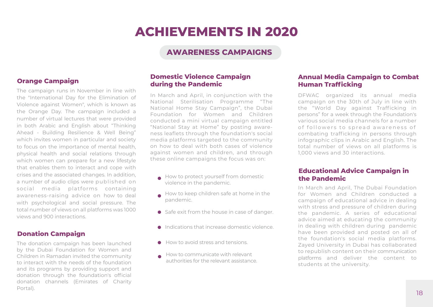### **AWARENESS CAMPAIGNS**

### **Orange Campaign**

The campaign runs in November in line with the "International Day for the Elimination of Violence against Women", which is known as the Orange Day. The campaign included a number of virtual lectures that were provided in both Arabic and English about "Thinking Ahead - Building Resilience & Well Being" which invites women in particular and society to focus on the importance of mental health, physical health and social relations through which women can prepare for a new lifestyle that enables them to interact and cope with crises and the associated changes. In addition, a number of audio clips were published on social media platforms containing awareness-raising advice on how to deal with psychological and social pressure. The total number of views on all platforms was 1000 views and 900 interactions.

### **Donation Campaign**

The donation campaign has been launched by the Dubai Foundation for Women and Children in Ramadan invited the community to interact with the needs of the foundation and its programs by providing support and donation through the foundation's official donation channels (Emirates of Charity Portal).

#### **Domestic Violence Campaign during the Pandemic**

In March and April, in conjunction with the National Sterilisation Programme "The National Home Stay Campaign", the Dubai Foundation for Women and Children conducted a mini virtual campaign entitled "National Stay at Home" by posting awareness leaflets through the foundation's social media platforms targeted to the community on how to deal with both cases of violence against women and children, and through these online campaigns the focus was on:

- How to protect yourself from domestic violence in the pandemic.
- How to keep children safe at home in the pandemic.
- Safe exit from the house in case of danger.
- **Indications that increase domestic violence.**
- How to avoid stress and tensions.
- How to communicate with relevant authorities for the relevant assistance.

#### **Annual Media Campaign to Combat Human Trafficking**

DFWAC organized its annual media campaign on the 30th of July in line with the "World Day against Trafficking in persons" for a week through the Foundation's various social media channels for a number of followers to spread awareness of combating trafficking in persons through infographic clips in Arabic and English. The total number of views on all platforms is 1,000 views and 30 interactions.

#### **Educational Advice Campaign in the Pandemic**

In March and April, The Dubai Foundation for Women and Children conducted a campaign of educational advice in dealing with stress and pressure of children during the pandemic. A series of educational advice aimed at educating the community in dealing with children during pandemic have been provided and posted on all of the foundation's social media platforms. Zayed University in Dubai has collaborated to republish content on their communication platforms and deliver the content to students at the university.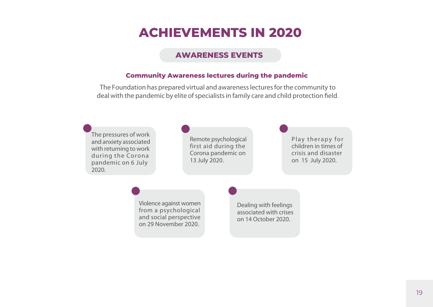### **AWARENESS EVENTS**

#### **Community Awareness lectures during the pandemic**

The Foundation has prepared virtual and awarenesslecturesforthe community to deal with the pandemic by elite of specialists in family care and child protection field.

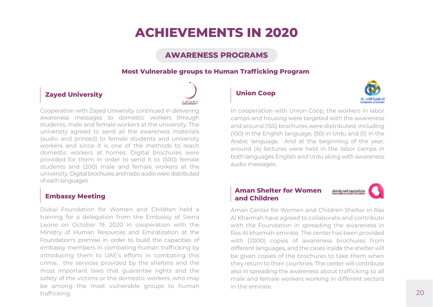### **AWARENESS PROGRAMS**

### **Most Vulnerable groups to Human Trafficking Program**

### **Zayed University**



Cooperation with Zayed University continued in delivering awareness messages to domestic workers through students, male and female workers at the university. The university agreed to send all the awareness materials (audio and printed) to female students and university workers and since it is one of the methods to reach domestic workers at homes. Digital brochures were provided for them in order to send it to (500) female students and (200) male and female workers at the university. Digital brochures and radio audio were distributed of each languages.

### **Embassy Meeting**

Dubai Foundation for Women and Children held a training for a delegation from the Embassy of Sierra Leone on October 19, 2020 in cooperation with the Ministry of Human Resources and Emiratization at the Foundation's premise in order to build the capacities of embassy members in combating human trafficking by introducing them to UAE's efforts in combating this crime, the services provided by the shelters and the most important laws that guarantee rights and the safety of the victims or the domestic workers, who may be among the most vulnerable groups to human trafficking.

### **Union Coop**



In cooperation with Union Coop, the workers in labor camps and housing were targeted with the awareness and around (155) brochures were distributed, including (100) in the English language, (50) in Urdu and (5) in the Arabic language. And at the beginning of the year, around (4) lectures were held in the labor camps in both languages English and Urdu along with awareness audio messages.

#### **Aman Shelter for Women**  مركز أمان لييواء النساء والاطفال **and Children**

Aman Center for Women and Children Shelter in Ras Al Khaimah have agreed to collaborate and contribute with the Foundation in spreading the awareness in Ras Al khaimah emirate. The center has been provided with (2000) copies of awareness brochures from different languages, and the cases inside the shelter will be given copies of the brochures to take them when they return to their countries. The center will contribute also in spreading the awareness about trafficking to all male and female workers working in different sectors in the emirate.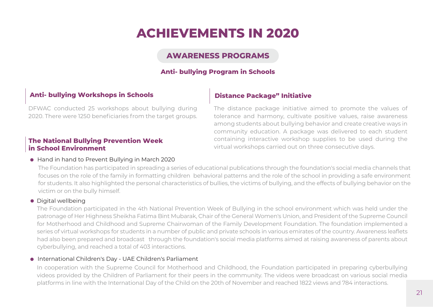### **AWARENESS PROGRAMS**

#### **Anti- bullying Program in Schools**

### **Anti- bullying Workshops in Schools**

#### **Distance Package" Initiative**

DFWAC conducted 25 workshops about bullying during 2020. There were 1250 beneficiaries from the target groups.

#### **The National Bullying Prevention Week in School Environment**

#### ● Hand in hand to Prevent Bullying in March 2020

The distance package initiative aimed to promote the values of tolerance and harmony, cultivate positive values, raise awareness among students about bullying behavior and create creative ways in community education. A package was delivered to each student containing interactive workshop supplies to be used during the virtual workshops carried out on three consecutive days.

The Foundation has participated in spreading a series of educational publications through the foundation's social media channels that focuses on the role of the family in formatting children behavioral patterns and the role of the school in providing a safe environment for students. It also highlighted the personal characteristics of bullies, the victims of bullying, and the effects of bullying behavior on the victim or on the bully himself.

#### **•** Digital wellbeing

The Foundation participated in the 4th National Prevention Week of Bullying in the school environment which was held under the patronage of Her Highness Sheikha Fatima Bint Mubarak, Chair of the General Women's Union, and President of the Supreme Council for Motherhood and Childhood and Supreme Chairwoman of the Family Development Foundation. The foundation implemented a series of virtual workshops for students in a number of public and private schools in various emirates of the country. Awareness leaflets had also been prepared and broadcast through the foundation's social media platforms aimed at raising awareness of parents about cyberbullying, and reached a total of 403 interactions.

#### International Children's Day - UAE Children's Parliament

In cooperation with the Supreme Council for Motherhood and Childhood, the Foundation participated in preparing cyberbullying videos provided by the Children of Parliament for their peers in the community. The videos were broadcast on various social media platforms in line with the International Day of the Child on the 20th of November and reached 1822 views and 784 interactions.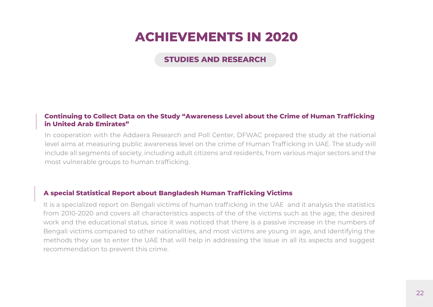### **STUDIES AND DESEARCH**

#### **Continuing to Collect Data on the Study "Awareness Level about the Crime of Human Trafficking in United Arab Emirates"**

In cooperation with the Addaera Research and Poll Center, DFWAC prepared the study at the national level aims at measuring public awareness level on the crime of Human Trafficking in UAE. The study will include all segments of society, including adult citizens and residents, from various major sectors and the most vulnerable groups to human trafficking.

#### **A special Statistical Report about Bangladesh Human Trafficking Victims**

It is a specialized report on Bengali victims of human trafficking in the UAE and it analysis the statistics from 2010-2020 and covers all characteristics aspects of the of the victims such as the age, the desired work and the educational status, since it was noticed that there is a passive increase in the numbers of Bengali victims compared to other nationalities, and most victims are young in age, and identifying the methods they use to enter the UAE that will help in addressing the issue in all its aspects and suggest recommendation to prevent this crime.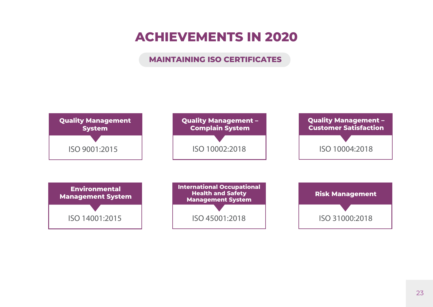### **MAINTAINING ISO CERTIFICATES**

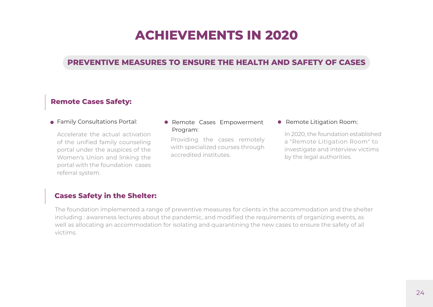### **PREVENTIVE MEASURES TO ENSURE THE HEALTH AND SAFETY OF CASES**

### **Remote Cases Safety:**

● Family Consultations Portal:

Accelerate the actual activation of the unified family counseling portal under the auspices of the Women's Union and linking the portal with the foundation cases referral system.

### **• Remote Cases Empowerment** Program: In 2020, the foundation established

Providing the cases remotely with specialized courses through accredited institutes.

#### **• Remote Litigation Room:**

a "Remote Litigation Room" to investigate and interview victims by the legal authorities.

### **Cases Safety in the Shelter:**

The foundation implemented a range of preventive measures for clients in the accommodation and the shelter including : awareness lectures about the pandemic, and modified the requirements of organizing events, as well as allocating an accommodation for isolating and quarantining the new cases to ensure the safety of all victims.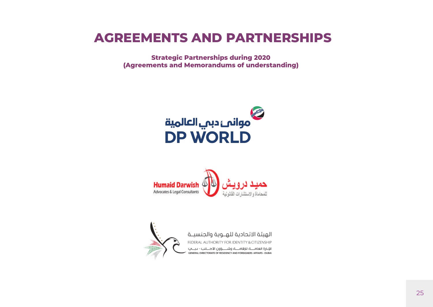# **AGREEMENTS AND PARTNERSHIPS**

**Strategic Partnerships during 2020 (Agreements and Memorandums of understanding)**





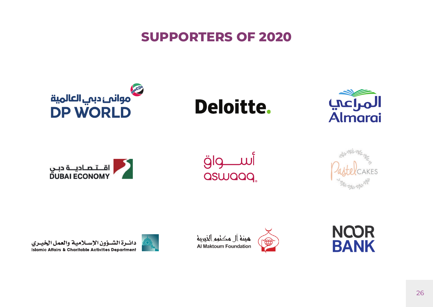# **SUPPORTERS OF 2020**